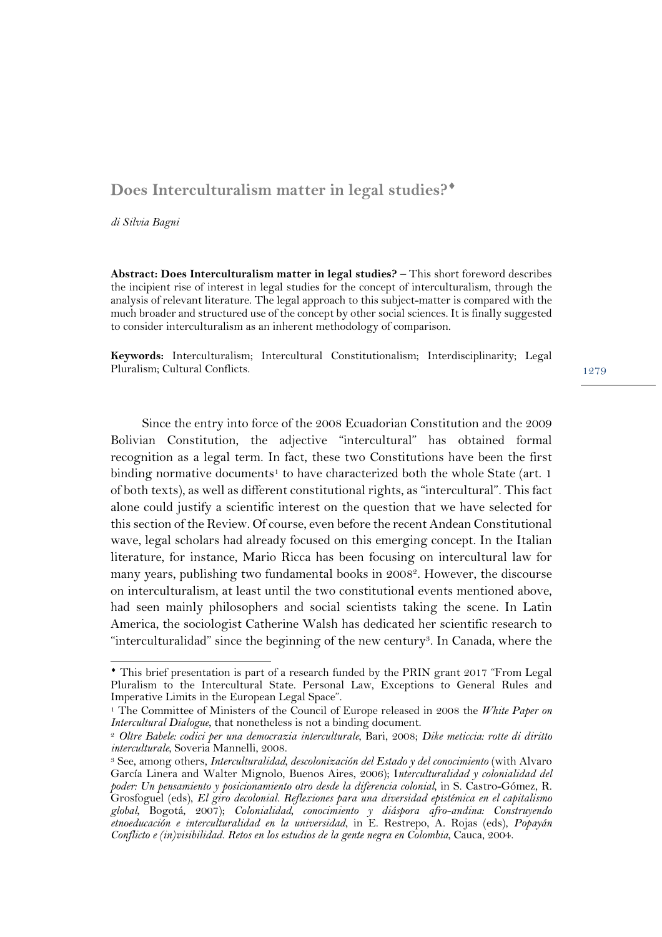## Does Interculturalism matter in legal studies?<sup>\*</sup>

*di Silvia Bagni*

**Abstract: Does Interculturalism matter in legal studies?** – This short foreword describes the incipient rise of interest in legal studies for the concept of interculturalism, through the analysis of relevant literature. The legal approach to this subject-matter is compared with the much broader and structured use of the concept by other social sciences. It is finally suggested to consider interculturalism as an inherent methodology of comparison.

**Keywords:** Interculturalism; Intercultural Constitutionalism; Interdisciplinarity; Legal Pluralism; Cultural Conflicts.

Since the entry into force of the 2008 Ecuadorian Constitution and the 2009 Bolivian Constitution, the adjective "intercultural" has obtained formal recognition as a legal term. In fact, these two Constitutions have been the first binding normative documents<sup>1</sup> to have characterized both the whole State (art. 1) of both texts), as well as different constitutional rights, as "intercultural". This fact alone could justify a scientific interest on the question that we have selected for this section of the Review. Of course, even before the recent Andean Constitutional wave, legal scholars had already focused on this emerging concept. In the Italian literature, for instance, Mario Ricca has been focusing on intercultural law for many years, publishing two fundamental books in 20082. However, the discourse on interculturalism, at least until the two constitutional events mentioned above, had seen mainly philosophers and social scientists taking the scene. In Latin America, the sociologist Catherine Walsh has dedicated her scientific research to "interculturalidad" since the beginning of the new century3. In Canada, where the 1279

¨ This brief presentation is part of a research funded by the PRIN grant 2017 "From Legal Pluralism to the Intercultural State. Personal Law, Exceptions to General Rules and Imperative Limits in the European Legal Space".

<sup>1</sup> The Committee of Ministers of the Council of Europe released in 2008 the *White Paper on Intercultural Dialogue*, that nonetheless is not a binding document.

<sup>2</sup> *Oltre Babele: codici per una democrazia interculturale*, Bari, 2008; *Dike meticcia: rotte di diritto interculturale*, Soveria Mannelli, 2008.

<sup>3</sup> See, among others, *Interculturalidad, descolonización del Estado y del conocimiento* (with Alvaro García Linera and Walter Mignolo, Buenos Aires, 2006); I*nterculturalidad y colonialidad del poder: Un pensamiento y posicionamiento otro desde la diferencia colonial*, in S. Castro-Gómez, R. Grosfoguel (eds), *El giro decolonial. Reflexiones para una diversidad epistémica en el capitalismo global*, Bogotá, 2007); *Colonialidad, conocimiento y diáspora afro-andina: Construyendo etnoeducación e interculturalidad en la universidad*, in E. Restrepo, A. Rojas (eds), *Popayán Conflicto e (in)visibilidad. Retos en los estudios de la gente negra en Colombia*, Cauca, 2004.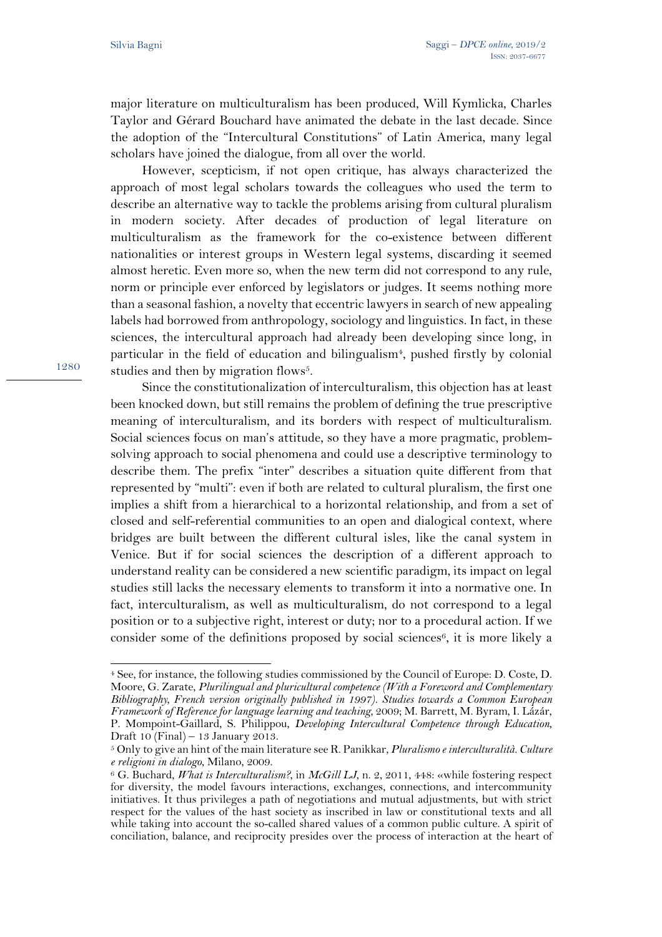major literature on multiculturalism has been produced, Will Kymlicka, Charles Taylor and Gérard Bouchard have animated the debate in the last decade. Since the adoption of the "Intercultural Constitutions" of Latin America, many legal scholars have joined the dialogue, from all over the world.

However, scepticism, if not open critique, has always characterized the approach of most legal scholars towards the colleagues who used the term to describe an alternative way to tackle the problems arising from cultural pluralism in modern society. After decades of production of legal literature on multiculturalism as the framework for the co-existence between different nationalities or interest groups in Western legal systems, discarding it seemed almost heretic. Even more so, when the new term did not correspond to any rule, norm or principle ever enforced by legislators or judges. It seems nothing more than a seasonal fashion, a novelty that eccentric lawyers in search of new appealing labels had borrowed from anthropology, sociology and linguistics. In fact, in these sciences, the intercultural approach had already been developing since long, in particular in the field of education and bilingualism<sup>4</sup>, pushed firstly by colonial studies and then by migration flows<sup>5</sup>.

Since the constitutionalization of interculturalism, this objection has at least been knocked down, but still remains the problem of defining the true prescriptive meaning of interculturalism, and its borders with respect of multiculturalism. Social sciences focus on man's attitude, so they have a more pragmatic, problemsolving approach to social phenomena and could use a descriptive terminology to describe them. The prefix "inter" describes a situation quite different from that represented by "multi": even if both are related to cultural pluralism, the first one implies a shift from a hierarchical to a horizontal relationship, and from a set of closed and self-referential communities to an open and dialogical context, where bridges are built between the different cultural isles, like the canal system in Venice. But if for social sciences the description of a different approach to understand reality can be considered a new scientific paradigm, its impact on legal studies still lacks the necessary elements to transform it into a normative one. In fact, interculturalism, as well as multiculturalism, do not correspond to a legal position or to a subjective right, interest or duty; nor to a procedural action. If we consider some of the definitions proposed by social sciences<sup>6</sup>, it is more likely a

1280

 $\overline{a}$ 

<sup>4</sup> See, for instance, the following studies commissioned by the Council of Europe: D. Coste, D. Moore, G. Zarate, *Plurilingual and pluricultural competence (With a Foreword and Complementary Bibliography, French version originally published in 1997). Studies towards a Common European Framework of Reference for language learning and teaching*, 2009; M. Barrett, M. Byram, I. Lázár, P. Mompoint-Gaillard, S. Philippou, *Developing Intercultural Competence through Education*, Draft 10 (Final) – 13 January 2013.

<sup>5</sup> Only to give an hint of the main literature see R. Panikkar, *Pluralismo e interculturalità. Culture e religioni in dialogo*, Milano, 2009.

<sup>6</sup> G. Buchard, *What is Interculturalism?*, in *McGill LJ*, n. 2, 2011, 448: «while fostering respect for diversity, the model favours interactions, exchanges, connections, and intercommunity initiatives. It thus privileges a path of negotiations and mutual adjustments, but with strict respect for the values of the hast society as inscribed in law or constitutional texts and all while taking into account the so-called shared values of a common public culture. A spirit of conciliation, balance, and reciprocity presides over the process of interaction at the heart of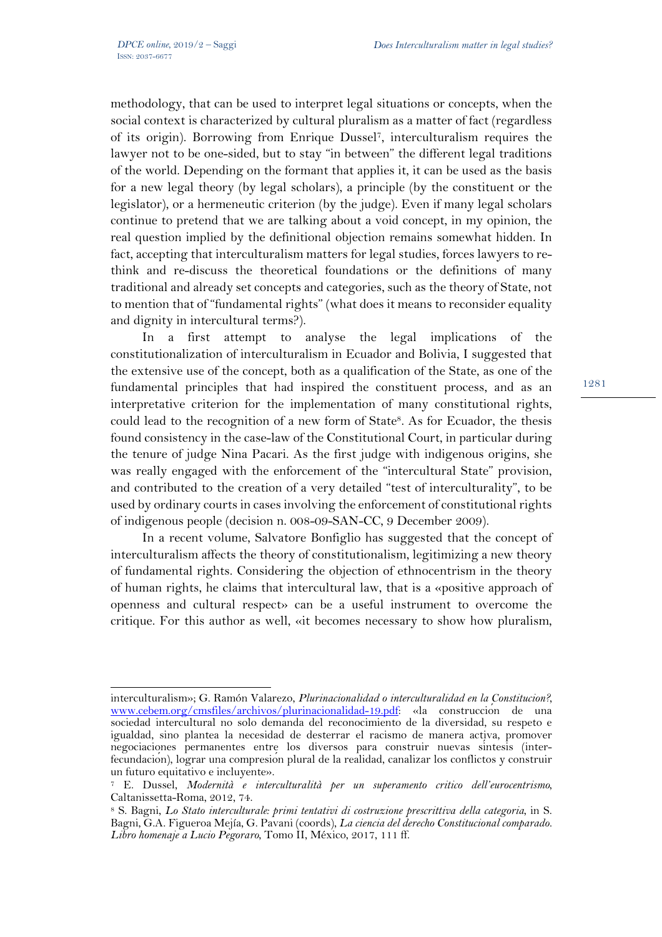$\overline{a}$ 

methodology, that can be used to interpret legal situations or concepts, when the social context is characterized by cultural pluralism as a matter of fact (regardless of its origin). Borrowing from Enrique Dussel7, interculturalism requires the lawyer not to be one-sided, but to stay "in between" the different legal traditions of the world. Depending on the formant that applies it, it can be used as the basis for a new legal theory (by legal scholars), a principle (by the constituent or the legislator), or a hermeneutic criterion (by the judge). Even if many legal scholars continue to pretend that we are talking about a void concept, in my opinion, the real question implied by the definitional objection remains somewhat hidden. In fact, accepting that interculturalism matters for legal studies, forces lawyers to rethink and re-discuss the theoretical foundations or the definitions of many traditional and already set concepts and categories, such as the theory of State, not to mention that of "fundamental rights" (what does it means to reconsider equality and dignity in intercultural terms?).

In a first attempt to analyse the legal implications of the constitutionalization of interculturalism in Ecuador and Bolivia, I suggested that the extensive use of the concept, both as a qualification of the State, as one of the fundamental principles that had inspired the constituent process, and as an interpretative criterion for the implementation of many constitutional rights, could lead to the recognition of a new form of State<sup>8</sup>. As for Ecuador, the thesis found consistency in the case-law of the Constitutional Court, in particular during the tenure of judge Nina Pacari. As the first judge with indigenous origins, she was really engaged with the enforcement of the "intercultural State" provision, and contributed to the creation of a very detailed "test of interculturality", to be used by ordinary courts in cases involving the enforcement of constitutional rights of indigenous people (decision n. 008-09-SAN-CC, 9 December 2009).

In a recent volume, Salvatore Bonfiglio has suggested that the concept of interculturalism affects the theory of constitutionalism, legitimizing a new theory of fundamental rights. Considering the objection of ethnocentrism in the theory of human rights, he claims that intercultural law, that is a «positive approach of openness and cultural respect» can be a useful instrument to overcome the critique. For this author as well, «it becomes necessary to show how pluralism,

1281

interculturalism»; G. Ramón Valarezo, *Plurinacionalidad o interculturalidad en la Constitucion?,* www.cebem.org/cmsfiles/archivos/plurinacionalidad-19.pdf: «la construcción de una sociedad intercultural no solo demanda del reconocimiento de la diversidad, su respeto e igualdad, sino plantea la necesidad de desterrar el racismo de manera activa, promover negociaciones permanentes entre los diversos para construir nuevas síntesis (interfecundación), lograr una compresión plural de la realidad, canalizar los conflictos y construir un futuro equitativo e incluyente».

<sup>7</sup> E. Dussel, *Modernità e interculturalità per un superamento critico dell'eurocentrismo*, Caltanissetta-Roma, 2012, 74.

<sup>8</sup> S. Bagni, *Lo Stato interculturale: primi tentativi di costruzione prescrittiva della categoria*, in S. Bagni, G.A. Figueroa Mejía, G. Pavani (coords), *La ciencia del derecho Constitucional comparado. Libro homenaje a Lucio Pegoraro*, Tomo II, México, 2017, 111 ff.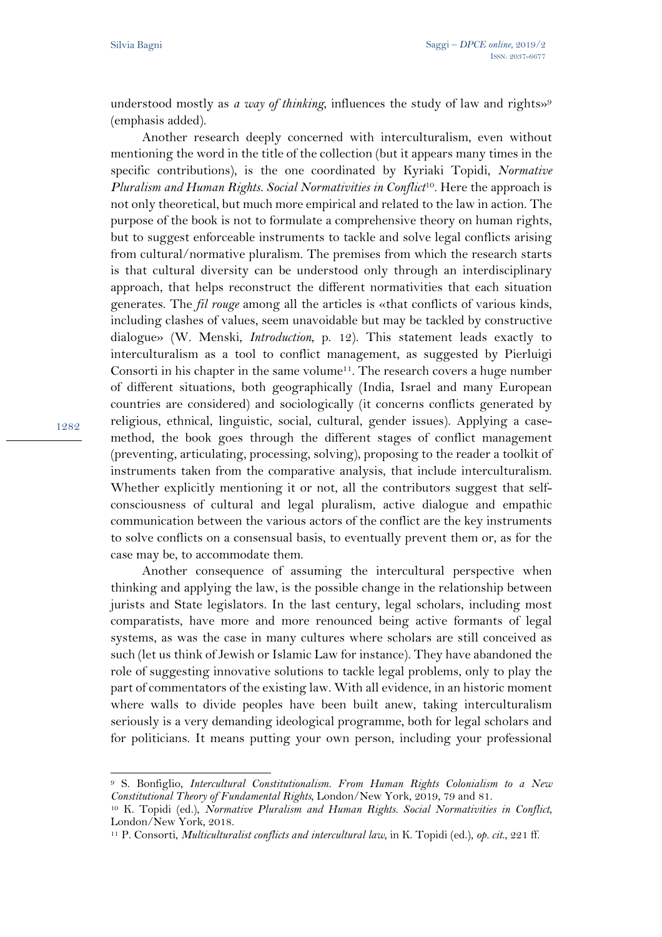understood mostly as *a way of thinking*, influences the study of law and rights»<sup>9</sup> (emphasis added).

Another research deeply concerned with interculturalism, even without mentioning the word in the title of the collection (but it appears many times in the specific contributions), is the one coordinated by Kyriaki Topidi, *Normative Pluralism and Human Rights. Social Normativities in Conflict*10. Here the approach is not only theoretical, but much more empirical and related to the law in action. The purpose of the book is not to formulate a comprehensive theory on human rights, but to suggest enforceable instruments to tackle and solve legal conflicts arising from cultural/normative pluralism. The premises from which the research starts is that cultural diversity can be understood only through an interdisciplinary approach, that helps reconstruct the different normativities that each situation generates. The *fil rouge* among all the articles is «that conflicts of various kinds, including clashes of values, seem unavoidable but may be tackled by constructive dialogue» (W. Menski, *Introduction*, p. 12). This statement leads exactly to interculturalism as a tool to conflict management, as suggested by Pierluigi Consorti in his chapter in the same volume<sup>11</sup>. The research covers a huge number of different situations, both geographically (India, Israel and many European countries are considered) and sociologically (it concerns conflicts generated by religious, ethnical, linguistic, social, cultural, gender issues). Applying a casemethod, the book goes through the different stages of conflict management (preventing, articulating, processing, solving), proposing to the reader a toolkit of instruments taken from the comparative analysis, that include interculturalism. Whether explicitly mentioning it or not, all the contributors suggest that selfconsciousness of cultural and legal pluralism, active dialogue and empathic communication between the various actors of the conflict are the key instruments to solve conflicts on a consensual basis, to eventually prevent them or, as for the case may be, to accommodate them.

Another consequence of assuming the intercultural perspective when thinking and applying the law, is the possible change in the relationship between jurists and State legislators. In the last century, legal scholars, including most comparatists, have more and more renounced being active formants of legal systems, as was the case in many cultures where scholars are still conceived as such (let us think of Jewish or Islamic Law for instance). They have abandoned the role of suggesting innovative solutions to tackle legal problems, only to play the part of commentators of the existing law. With all evidence, in an historic moment where walls to divide peoples have been built anew, taking interculturalism seriously is a very demanding ideological programme, both for legal scholars and for politicians. It means putting your own person, including your professional

 $\overline{a}$ <sup>9</sup> S. Bonfiglio, *Intercultural Constitutionalism. From Human Rights Colonialism to a New Constitutional Theory of Fundamental Rights*, London/New York, 2019, 79 and 81.

<sup>10</sup> K. Topidi (ed.), *Normative Pluralism and Human Rights. Social Normativities in Conflict*, London/New York, 2018.

<sup>11</sup> P. Consorti, *Multiculturalist conflicts and intercultural law*, in K. Topidi (ed.), *op. cit*., 221 ff.